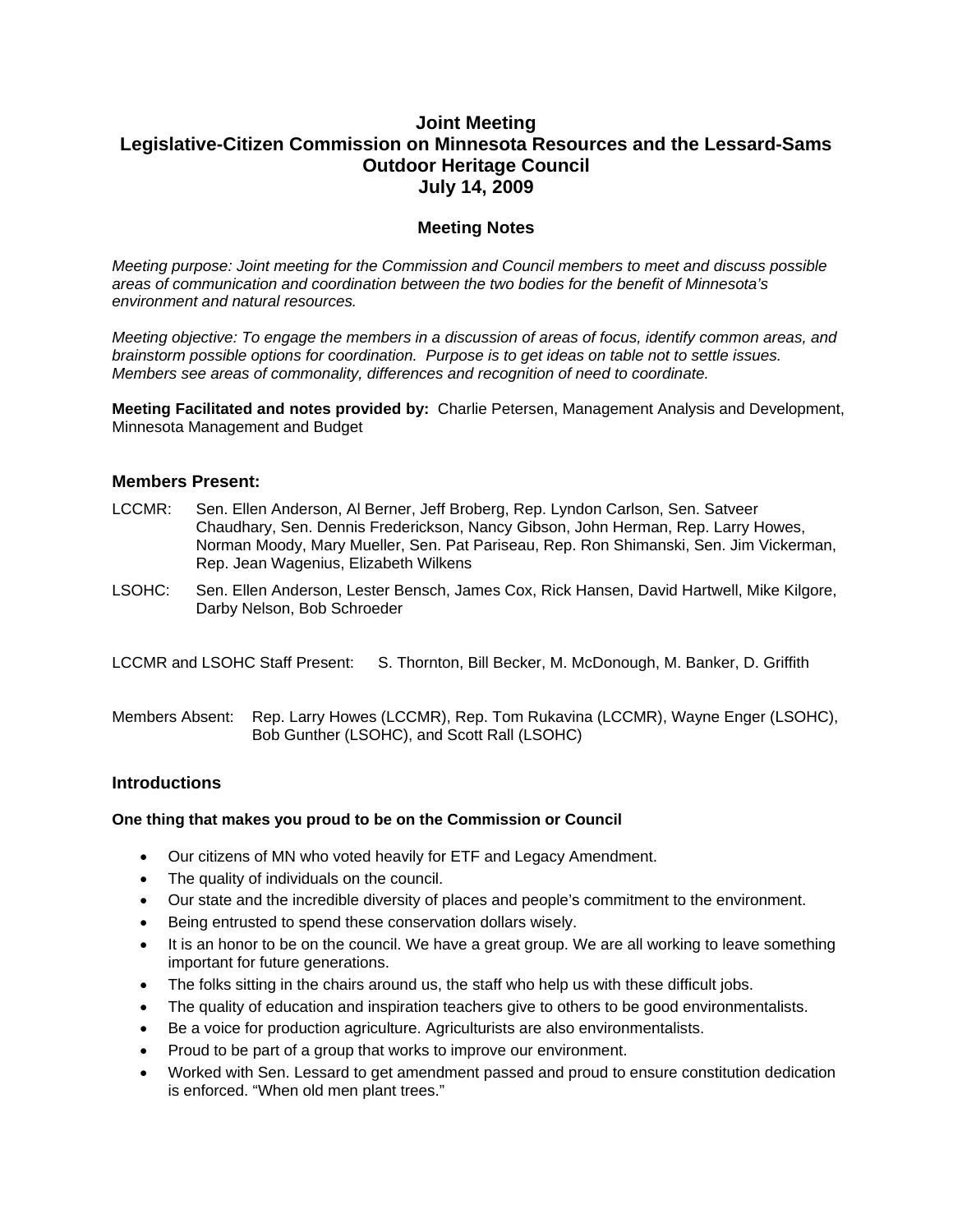# **Joint Meeting Legislative-Citizen Commission on Minnesota Resources and the Lessard-Sams Outdoor Heritage Council July 14, 2009**

# **Meeting Notes**

*Meeting purpose: Joint meeting for the Commission and Council members to meet and discuss possible areas of communication and coordination between the two bodies for the benefit of Minnesota's environment and natural resources.* 

*Meeting objective: To engage the members in a discussion of areas of focus, identify common areas, and brainstorm possible options for coordination. Purpose is to get ideas on table not to settle issues. Members see areas of commonality, differences and recognition of need to coordinate.* 

**Meeting Facilitated and notes provided by:** Charlie Petersen, Management Analysis and Development, Minnesota Management and Budget

### **Members Present:**

- LCCMR: Sen. Ellen Anderson, Al Berner, Jeff Broberg, Rep. Lyndon Carlson, Sen. Satveer Chaudhary, Sen. Dennis Frederickson, Nancy Gibson, John Herman, Rep. Larry Howes, Norman Moody, Mary Mueller, Sen. Pat Pariseau, Rep. Ron Shimanski, Sen. Jim Vickerman, Rep. Jean Wagenius, Elizabeth Wilkens
- LSOHC: Sen. Ellen Anderson, Lester Bensch, James Cox, Rick Hansen, David Hartwell, Mike Kilgore, Darby Nelson, Bob Schroeder

LCCMR and LSOHC Staff Present: S. Thornton, Bill Becker, M. McDonough, M. Banker, D. Griffith

Members Absent: Rep. Larry Howes (LCCMR), Rep. Tom Rukavina (LCCMR), Wayne Enger (LSOHC), Bob Gunther (LSOHC), and Scott Rall (LSOHC)

### **Introductions**

#### **One thing that makes you proud to be on the Commission or Council**

- Our citizens of MN who voted heavily for ETF and Legacy Amendment.
- The quality of individuals on the council.
- Our state and the incredible diversity of places and people's commitment to the environment.
- Being entrusted to spend these conservation dollars wisely.
- $\bullet$  It is an honor to be on the council. We have a great group. We are all working to leave something important for future generations.
- The folks sitting in the chairs around us, the staff who help us with these difficult jobs.
- The quality of education and inspiration teachers give to others to be good environmentalists.
- Be a voice for production agriculture. Agriculturists are also environmentalists.
- Proud to be part of a group that works to improve our environment.
- Worked with Sen. Lessard to get amendment passed and proud to ensure constitution dedication is enforced. "When old men plant trees."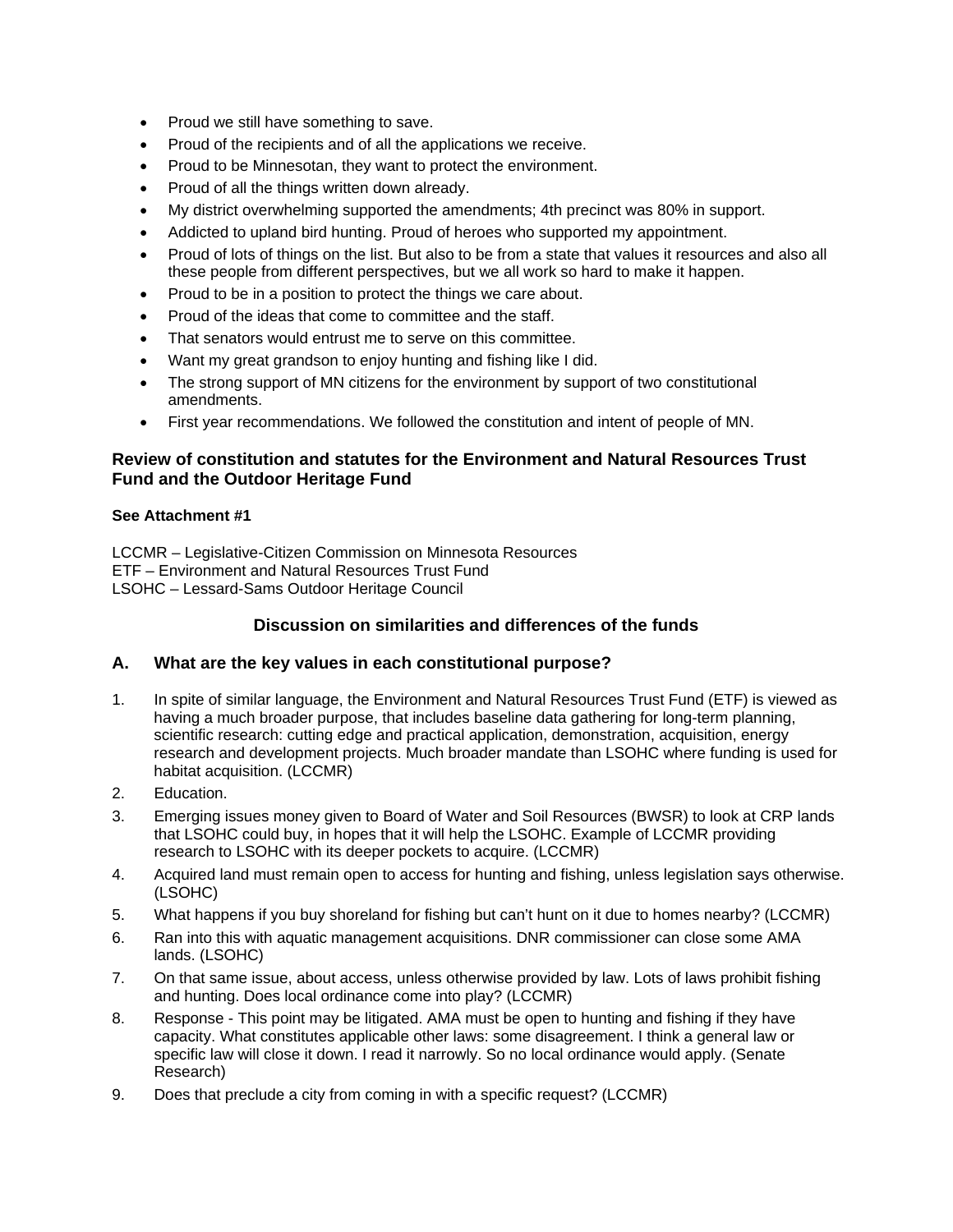- Proud we still have something to save.
- Proud of the recipients and of all the applications we receive.
- Proud to be Minnesotan, they want to protect the environment.
- Proud of all the things written down already.
- My district overwhelming supported the amendments; 4th precinct was 80% in support.
- Addicted to upland bird hunting. Proud of heroes who supported my appointment.
- Proud of lots of things on the list. But also to be from a state that values it resources and also all these people from different perspectives, but we all work so hard to make it happen.
- Proud to be in a position to protect the things we care about.
- Proud of the ideas that come to committee and the staff.
- That senators would entrust me to serve on this committee.
- Want my great grandson to enjoy hunting and fishing like I did.
- The strong support of MN citizens for the environment by support of two constitutional amendments.
- First year recommendations. We followed the constitution and intent of people of MN.

### **Review of constitution and statutes for the Environment and Natural Resources Trust Fund and the Outdoor Heritage Fund**

### **See Attachment #1**

LCCMR – Legislative-Citizen Commission on Minnesota Resources ETF – Environment and Natural Resources Trust Fund LSOHC – Lessard-Sams Outdoor Heritage Council

# **Discussion on similarities and differences of the funds**

### **A. What are the key values in each constitutional purpose?**

- 1. In spite of similar language, the Environment and Natural Resources Trust Fund (ETF) is viewed as having a much broader purpose, that includes baseline data gathering for long-term planning, scientific research: cutting edge and practical application, demonstration, acquisition, energy research and development projects. Much broader mandate than LSOHC where funding is used for habitat acquisition. (LCCMR)
- 2. Education.
- 3. Emerging issues money given to Board of Water and Soil Resources (BWSR) to look at CRP lands that LSOHC could buy, in hopes that it will help the LSOHC. Example of LCCMR providing research to LSOHC with its deeper pockets to acquire. (LCCMR)
- 4. Acquired land must remain open to access for hunting and fishing, unless legislation says otherwise. (LSOHC)
- 5. What happens if you buy shoreland for fishing but can't hunt on it due to homes nearby? (LCCMR)
- 6. Ran into this with aquatic management acquisitions. DNR commissioner can close some AMA lands. (LSOHC)
- 7. On that same issue, about access, unless otherwise provided by law. Lots of laws prohibit fishing and hunting. Does local ordinance come into play? (LCCMR)
- 8. Response This point may be litigated. AMA must be open to hunting and fishing if they have capacity. What constitutes applicable other laws: some disagreement. I think a general law or specific law will close it down. I read it narrowly. So no local ordinance would apply. (Senate Research)
- 9. Does that preclude a city from coming in with a specific request? (LCCMR)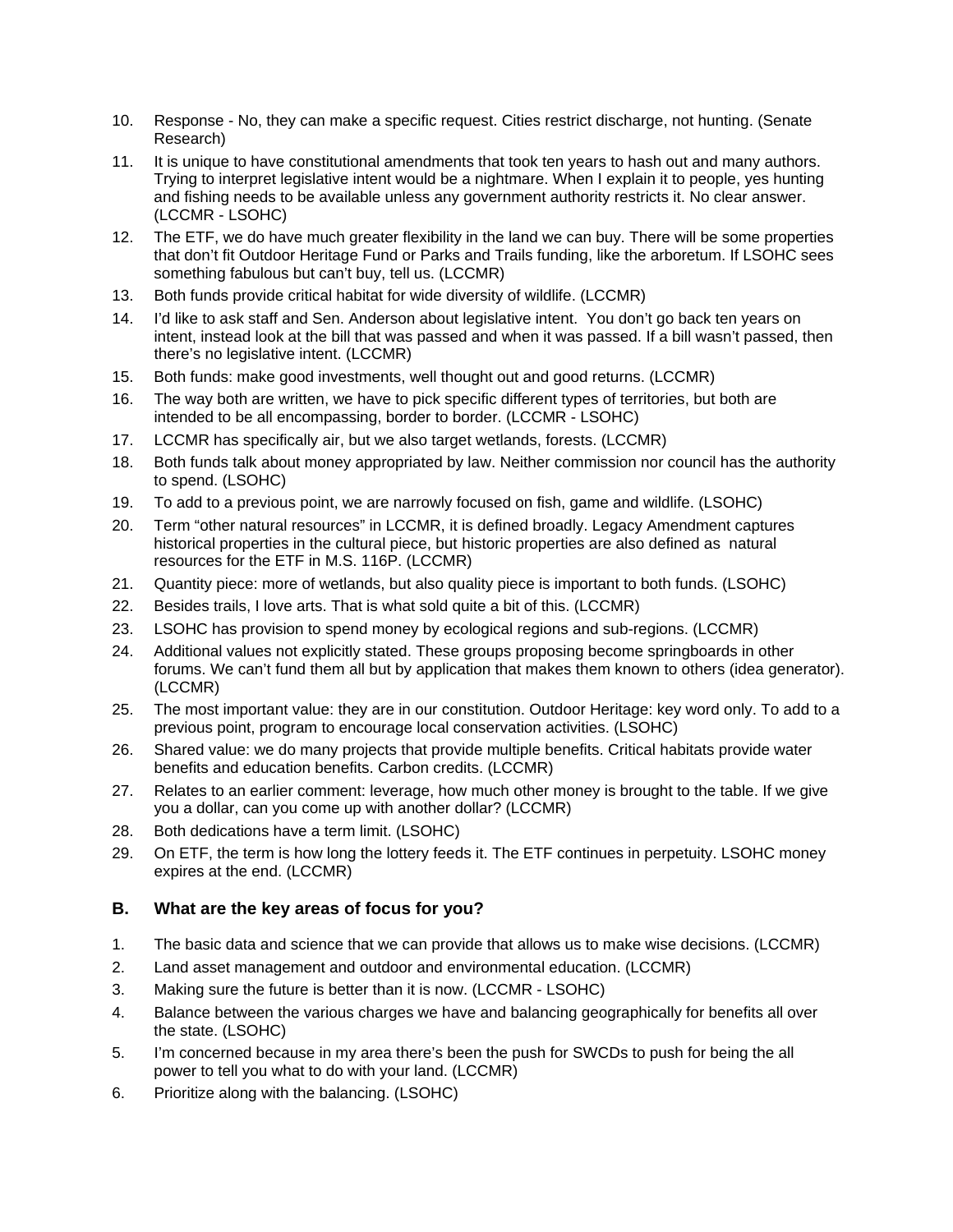- 10. Response No, they can make a specific request. Cities restrict discharge, not hunting. (Senate Research)
- 11. It is unique to have constitutional amendments that took ten years to hash out and many authors. Trying to interpret legislative intent would be a nightmare. When I explain it to people, yes hunting and fishing needs to be available unless any government authority restricts it. No clear answer. (LCCMR - LSOHC)
- 12. The ETF, we do have much greater flexibility in the land we can buy. There will be some properties that don't fit Outdoor Heritage Fund or Parks and Trails funding, like the arboretum. If LSOHC sees something fabulous but can't buy, tell us. (LCCMR)
- 13. Both funds provide critical habitat for wide diversity of wildlife. (LCCMR)
- 14. I'd like to ask staff and Sen. Anderson about legislative intent. You don't go back ten years on intent, instead look at the bill that was passed and when it was passed. If a bill wasn't passed, then there's no legislative intent. (LCCMR)
- 15. Both funds: make good investments, well thought out and good returns. (LCCMR)
- 16. The way both are written, we have to pick specific different types of territories, but both are intended to be all encompassing, border to border. (LCCMR - LSOHC)
- 17. LCCMR has specifically air, but we also target wetlands, forests. (LCCMR)
- 18. Both funds talk about money appropriated by law. Neither commission nor council has the authority to spend. (LSOHC)
- 19. To add to a previous point, we are narrowly focused on fish, game and wildlife. (LSOHC)
- 20. Term "other natural resources" in LCCMR, it is defined broadly. Legacy Amendment captures historical properties in the cultural piece, but historic properties are also defined as natural resources for the ETF in M.S. 116P. (LCCMR)
- 21. Quantity piece: more of wetlands, but also quality piece is important to both funds. (LSOHC)
- 22. Besides trails, I love arts. That is what sold quite a bit of this. (LCCMR)
- 23. LSOHC has provision to spend money by ecological regions and sub-regions. (LCCMR)
- 24. Additional values not explicitly stated. These groups proposing become springboards in other forums. We can't fund them all but by application that makes them known to others (idea generator). (LCCMR)
- 25. The most important value: they are in our constitution. Outdoor Heritage: key word only. To add to a previous point, program to encourage local conservation activities. (LSOHC)
- 26. Shared value: we do many projects that provide multiple benefits. Critical habitats provide water benefits and education benefits. Carbon credits. (LCCMR)
- 27. Relates to an earlier comment: leverage, how much other money is brought to the table. If we give you a dollar, can you come up with another dollar? (LCCMR)
- 28. Both dedications have a term limit. (LSOHC)
- 29. On ETF, the term is how long the lottery feeds it. The ETF continues in perpetuity. LSOHC money expires at the end. (LCCMR)

### **B. What are the key areas of focus for you?**

- 1. The basic data and science that we can provide that allows us to make wise decisions. (LCCMR)
- 2. Land asset management and outdoor and environmental education. (LCCMR)
- 3. Making sure the future is better than it is now. (LCCMR LSOHC)
- 4. Balance between the various charges we have and balancing geographically for benefits all over the state. (LSOHC)
- 5. I'm concerned because in my area there's been the push for SWCDs to push for being the all power to tell you what to do with your land. (LCCMR)
- 6. Prioritize along with the balancing. (LSOHC)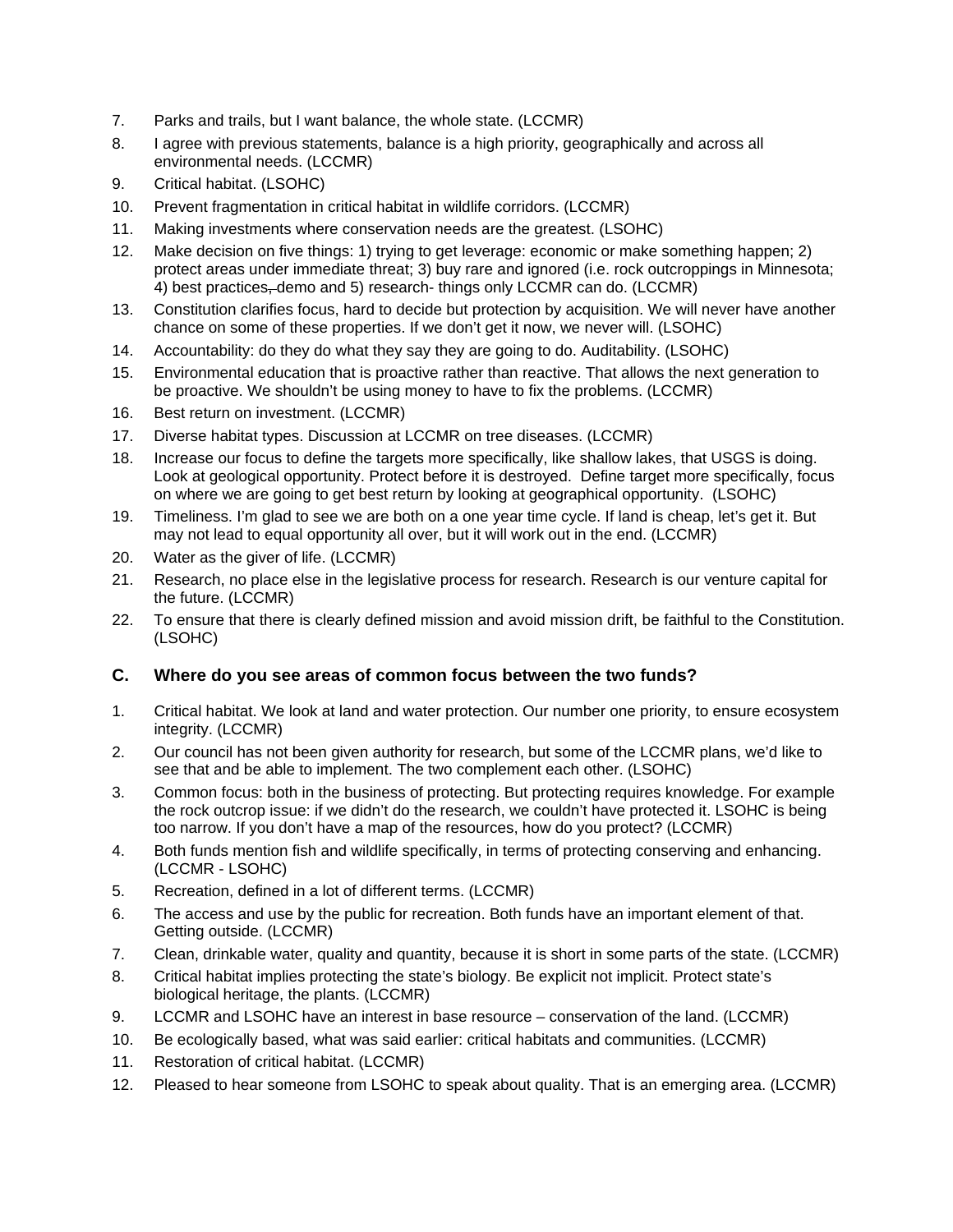- 7. Parks and trails, but I want balance, the whole state. (LCCMR)
- 8. I agree with previous statements, balance is a high priority, geographically and across all environmental needs. (LCCMR)
- 9. Critical habitat. (LSOHC)
- 10. Prevent fragmentation in critical habitat in wildlife corridors. (LCCMR)
- 11. Making investments where conservation needs are the greatest. (LSOHC)
- 12. Make decision on five things: 1) trying to get leverage: economic or make something happen; 2) protect areas under immediate threat; 3) buy rare and ignored (i.e. rock outcroppings in Minnesota; 4) best practices, demo and 5) research- things only LCCMR can do. (LCCMR)
- 13. Constitution clarifies focus, hard to decide but protection by acquisition. We will never have another chance on some of these properties. If we don't get it now, we never will. (LSOHC)
- 14. Accountability: do they do what they say they are going to do. Auditability. (LSOHC)
- 15. Environmental education that is proactive rather than reactive. That allows the next generation to be proactive. We shouldn't be using money to have to fix the problems. (LCCMR)
- 16. Best return on investment. (LCCMR)
- 17. Diverse habitat types. Discussion at LCCMR on tree diseases. (LCCMR)
- 18. Increase our focus to define the targets more specifically, like shallow lakes, that USGS is doing. Look at geological opportunity. Protect before it is destroyed. Define target more specifically, focus on where we are going to get best return by looking at geographical opportunity. (LSOHC)
- 19. Timeliness. I'm glad to see we are both on a one year time cycle. If land is cheap, let's get it. But may not lead to equal opportunity all over, but it will work out in the end. (LCCMR)
- 20. Water as the giver of life. (LCCMR)
- 21. Research, no place else in the legislative process for research. Research is our venture capital for the future. (LCCMR)
- 22. To ensure that there is clearly defined mission and avoid mission drift, be faithful to the Constitution. (LSOHC)

# **C. Where do you see areas of common focus between the two funds?**

- 1. Critical habitat. We look at land and water protection. Our number one priority, to ensure ecosystem integrity. (LCCMR)
- 2. Our council has not been given authority for research, but some of the LCCMR plans, we'd like to see that and be able to implement. The two complement each other. (LSOHC)
- 3. Common focus: both in the business of protecting. But protecting requires knowledge. For example the rock outcrop issue: if we didn't do the research, we couldn't have protected it. LSOHC is being too narrow. If you don't have a map of the resources, how do you protect? (LCCMR)
- 4. Both funds mention fish and wildlife specifically, in terms of protecting conserving and enhancing. (LCCMR - LSOHC)
- 5. Recreation, defined in a lot of different terms. (LCCMR)
- 6. The access and use by the public for recreation. Both funds have an important element of that. Getting outside. (LCCMR)
- 7. Clean, drinkable water, quality and quantity, because it is short in some parts of the state. (LCCMR)
- 8. Critical habitat implies protecting the state's biology. Be explicit not implicit. Protect state's biological heritage, the plants. (LCCMR)
- 9. LCCMR and LSOHC have an interest in base resource conservation of the land. (LCCMR)
- 10. Be ecologically based, what was said earlier: critical habitats and communities. (LCCMR)
- 11. Restoration of critical habitat. (LCCMR)
- 12. Pleased to hear someone from LSOHC to speak about quality. That is an emerging area. (LCCMR)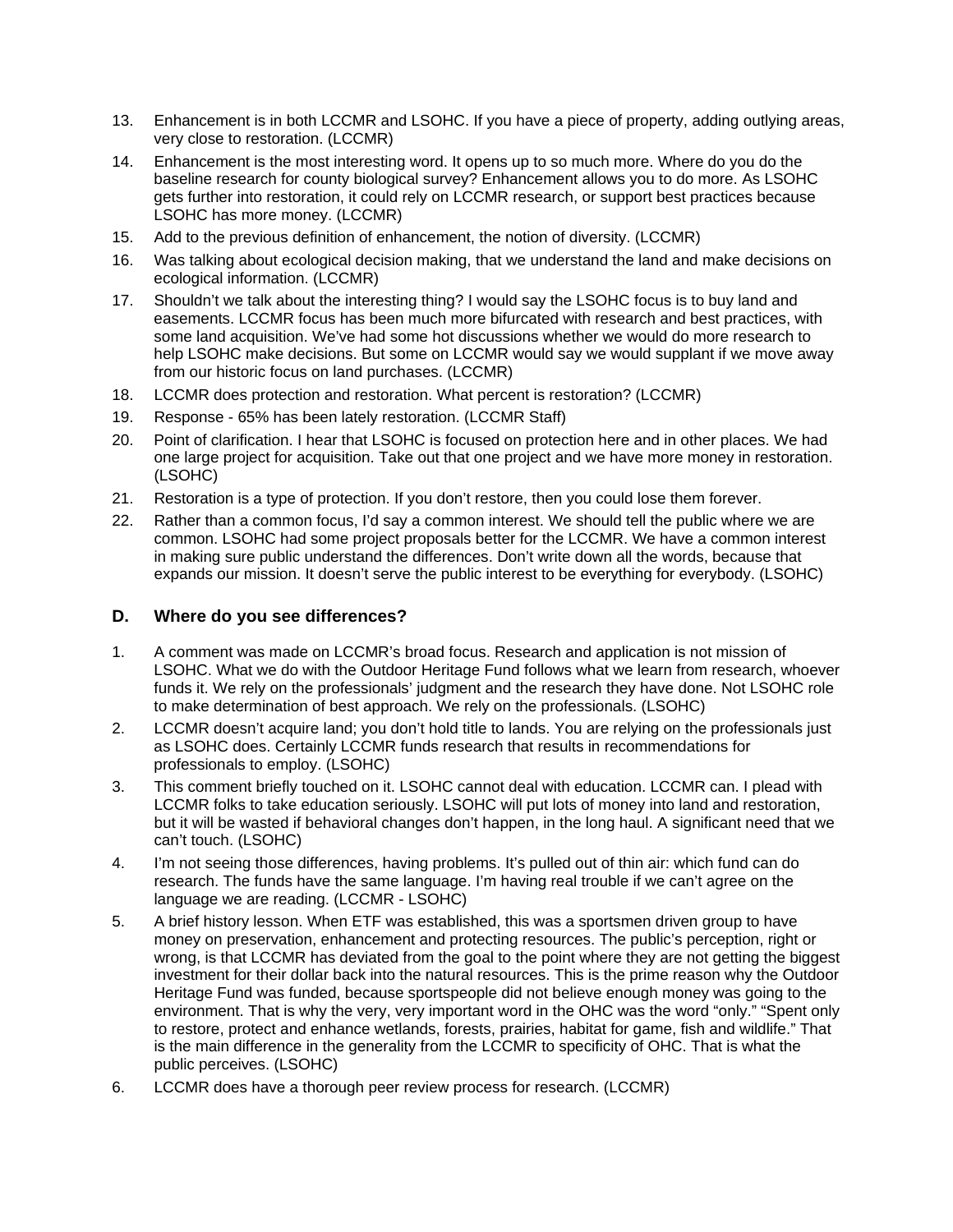- 13. Enhancement is in both LCCMR and LSOHC. If you have a piece of property, adding outlying areas, very close to restoration. (LCCMR)
- 14. Enhancement is the most interesting word. It opens up to so much more. Where do you do the baseline research for county biological survey? Enhancement allows you to do more. As LSOHC gets further into restoration, it could rely on LCCMR research, or support best practices because LSOHC has more money. (LCCMR)
- 15. Add to the previous definition of enhancement, the notion of diversity. (LCCMR)
- 16. Was talking about ecological decision making, that we understand the land and make decisions on ecological information. (LCCMR)
- 17. Shouldn't we talk about the interesting thing? I would say the LSOHC focus is to buy land and easements. LCCMR focus has been much more bifurcated with research and best practices, with some land acquisition. We've had some hot discussions whether we would do more research to help LSOHC make decisions. But some on LCCMR would say we would supplant if we move away from our historic focus on land purchases. (LCCMR)
- 18. LCCMR does protection and restoration. What percent is restoration? (LCCMR)
- 19. Response 65% has been lately restoration. (LCCMR Staff)
- 20. Point of clarification. I hear that LSOHC is focused on protection here and in other places. We had one large project for acquisition. Take out that one project and we have more money in restoration. (LSOHC)
- 21. Restoration is a type of protection. If you don't restore, then you could lose them forever.
- 22. Rather than a common focus, I'd say a common interest. We should tell the public where we are common. LSOHC had some project proposals better for the LCCMR. We have a common interest in making sure public understand the differences. Don't write down all the words, because that expands our mission. It doesn't serve the public interest to be everything for everybody. (LSOHC)

# **D. Where do you see differences?**

- 1. A comment was made on LCCMR's broad focus. Research and application is not mission of LSOHC. What we do with the Outdoor Heritage Fund follows what we learn from research, whoever funds it. We rely on the professionals' judgment and the research they have done. Not LSOHC role to make determination of best approach. We rely on the professionals. (LSOHC)
- 2. LCCMR doesn't acquire land; you don't hold title to lands. You are relying on the professionals just as LSOHC does. Certainly LCCMR funds research that results in recommendations for professionals to employ. (LSOHC)
- 3. This comment briefly touched on it. LSOHC cannot deal with education. LCCMR can. I plead with LCCMR folks to take education seriously. LSOHC will put lots of money into land and restoration, but it will be wasted if behavioral changes don't happen, in the long haul. A significant need that we can't touch. (LSOHC)
- 4. I'm not seeing those differences, having problems. It's pulled out of thin air: which fund can do research. The funds have the same language. I'm having real trouble if we can't agree on the language we are reading. (LCCMR - LSOHC)
- 5. A brief history lesson. When ETF was established, this was a sportsmen driven group to have money on preservation, enhancement and protecting resources. The public's perception, right or wrong, is that LCCMR has deviated from the goal to the point where they are not getting the biggest investment for their dollar back into the natural resources. This is the prime reason why the Outdoor Heritage Fund was funded, because sportspeople did not believe enough money was going to the environment. That is why the very, very important word in the OHC was the word "only." "Spent only to restore, protect and enhance wetlands, forests, prairies, habitat for game, fish and wildlife." That is the main difference in the generality from the LCCMR to specificity of OHC. That is what the public perceives. (LSOHC)
- 6. LCCMR does have a thorough peer review process for research. (LCCMR)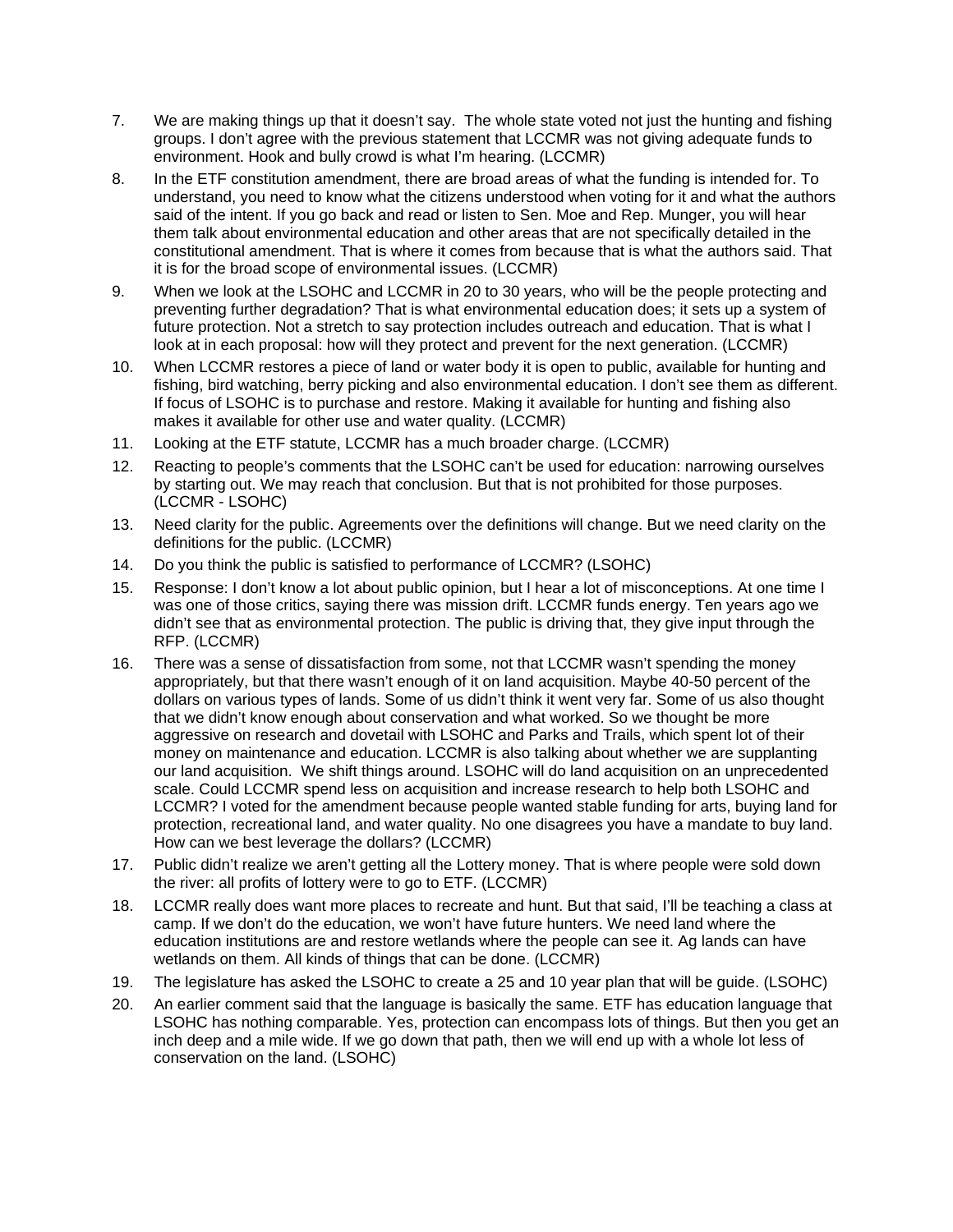- 7. We are making things up that it doesn't say. The whole state voted not just the hunting and fishing groups. I don't agree with the previous statement that LCCMR was not giving adequate funds to environment. Hook and bully crowd is what I'm hearing. (LCCMR)
- 8. In the ETF constitution amendment, there are broad areas of what the funding is intended for. To understand, you need to know what the citizens understood when voting for it and what the authors said of the intent. If you go back and read or listen to Sen. Moe and Rep. Munger, you will hear them talk about environmental education and other areas that are not specifically detailed in the constitutional amendment. That is where it comes from because that is what the authors said. That it is for the broad scope of environmental issues. (LCCMR)
- 9. When we look at the LSOHC and LCCMR in 20 to 30 years, who will be the people protecting and preventing further degradation? That is what environmental education does; it sets up a system of future protection. Not a stretch to say protection includes outreach and education. That is what I look at in each proposal: how will they protect and prevent for the next generation. (LCCMR)
- 10. When LCCMR restores a piece of land or water body it is open to public, available for hunting and fishing, bird watching, berry picking and also environmental education. I don't see them as different. If focus of LSOHC is to purchase and restore. Making it available for hunting and fishing also makes it available for other use and water quality. (LCCMR)
- 11. Looking at the ETF statute, LCCMR has a much broader charge. (LCCMR)
- 12. Reacting to people's comments that the LSOHC can't be used for education: narrowing ourselves by starting out. We may reach that conclusion. But that is not prohibited for those purposes. (LCCMR - LSOHC)
- 13. Need clarity for the public. Agreements over the definitions will change. But we need clarity on the definitions for the public. (LCCMR)
- 14. Do you think the public is satisfied to performance of LCCMR? (LSOHC)
- 15. Response: I don't know a lot about public opinion, but I hear a lot of misconceptions. At one time I was one of those critics, saying there was mission drift. LCCMR funds energy. Ten years ago we didn't see that as environmental protection. The public is driving that, they give input through the RFP. (LCCMR)
- 16. There was a sense of dissatisfaction from some, not that LCCMR wasn't spending the money appropriately, but that there wasn't enough of it on land acquisition. Maybe 40-50 percent of the dollars on various types of lands. Some of us didn't think it went very far. Some of us also thought that we didn't know enough about conservation and what worked. So we thought be more aggressive on research and dovetail with LSOHC and Parks and Trails, which spent lot of their money on maintenance and education. LCCMR is also talking about whether we are supplanting our land acquisition. We shift things around. LSOHC will do land acquisition on an unprecedented scale. Could LCCMR spend less on acquisition and increase research to help both LSOHC and LCCMR? I voted for the amendment because people wanted stable funding for arts, buying land for protection, recreational land, and water quality. No one disagrees you have a mandate to buy land. How can we best leverage the dollars? (LCCMR)
- 17. Public didn't realize we aren't getting all the Lottery money. That is where people were sold down the river: all profits of lottery were to go to ETF. (LCCMR)
- 18. LCCMR really does want more places to recreate and hunt. But that said, I'll be teaching a class at camp. If we don't do the education, we won't have future hunters. We need land where the education institutions are and restore wetlands where the people can see it. Ag lands can have wetlands on them. All kinds of things that can be done. (LCCMR)
- 19. The legislature has asked the LSOHC to create a 25 and 10 year plan that will be guide. (LSOHC)
- 20. An earlier comment said that the language is basically the same. ETF has education language that LSOHC has nothing comparable. Yes, protection can encompass lots of things. But then you get an inch deep and a mile wide. If we go down that path, then we will end up with a whole lot less of conservation on the land. (LSOHC)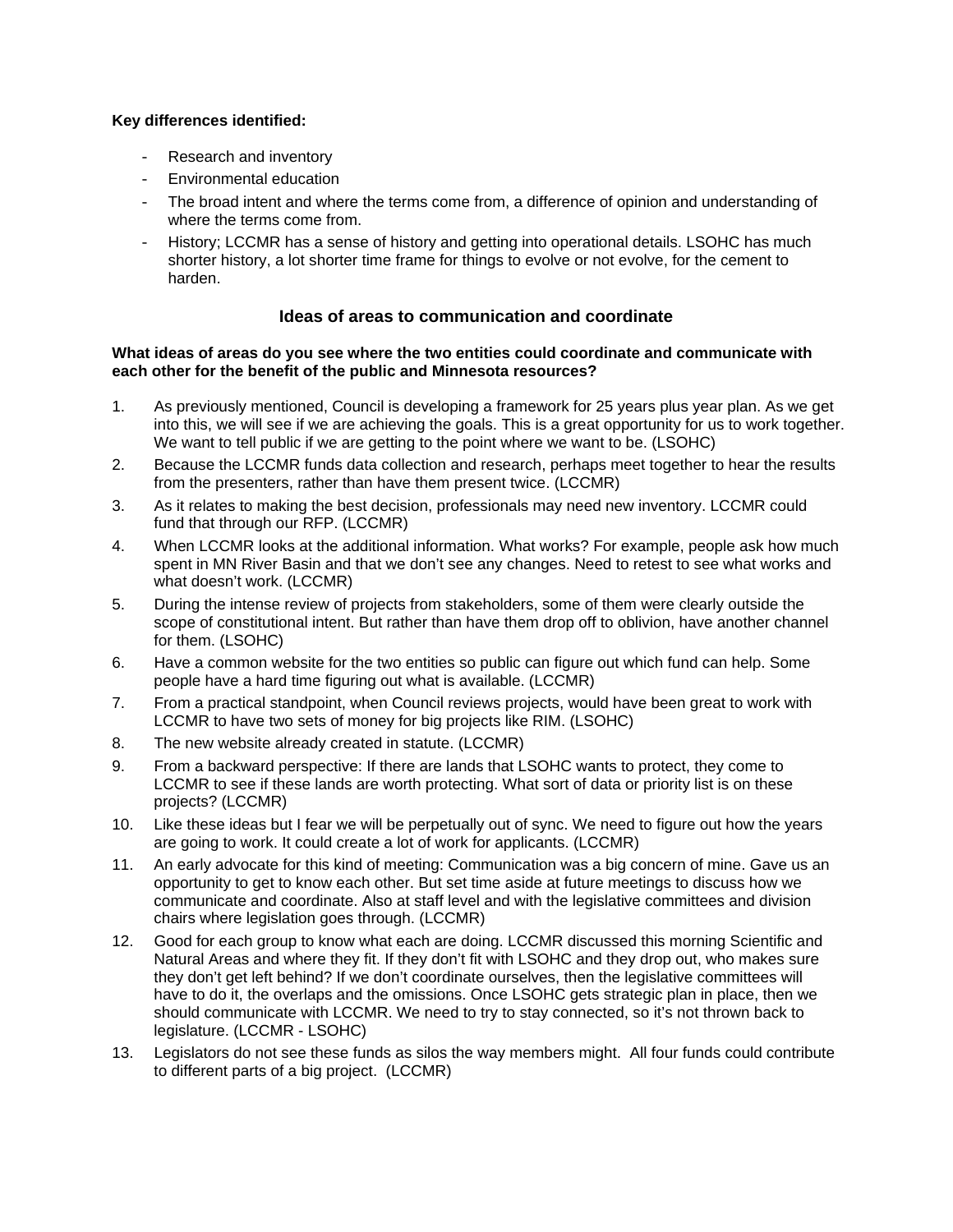### **Key differences identified:**

- Research and inventory
- Environmental education
- The broad intent and where the terms come from, a difference of opinion and understanding of where the terms come from.
- History; LCCMR has a sense of history and getting into operational details. LSOHC has much shorter history, a lot shorter time frame for things to evolve or not evolve, for the cement to harden.

# **Ideas of areas to communication and coordinate**

#### **What ideas of areas do you see where the two entities could coordinate and communicate with each other for the benefit of the public and Minnesota resources?**

- 1. As previously mentioned, Council is developing a framework for 25 years plus year plan. As we get into this, we will see if we are achieving the goals. This is a great opportunity for us to work together. We want to tell public if we are getting to the point where we want to be. (LSOHC)
- 2. Because the LCCMR funds data collection and research, perhaps meet together to hear the results from the presenters, rather than have them present twice. (LCCMR)
- 3. As it relates to making the best decision, professionals may need new inventory. LCCMR could fund that through our RFP. (LCCMR)
- 4. When LCCMR looks at the additional information. What works? For example, people ask how much spent in MN River Basin and that we don't see any changes. Need to retest to see what works and what doesn't work. (LCCMR)
- 5. During the intense review of projects from stakeholders, some of them were clearly outside the scope of constitutional intent. But rather than have them drop off to oblivion, have another channel for them. (LSOHC)
- 6. Have a common website for the two entities so public can figure out which fund can help. Some people have a hard time figuring out what is available. (LCCMR)
- 7. From a practical standpoint, when Council reviews projects, would have been great to work with LCCMR to have two sets of money for big projects like RIM. (LSOHC)
- 8. The new website already created in statute. (LCCMR)
- 9. From a backward perspective: If there are lands that LSOHC wants to protect, they come to LCCMR to see if these lands are worth protecting. What sort of data or priority list is on these projects? (LCCMR)
- 10. Like these ideas but I fear we will be perpetually out of sync. We need to figure out how the years are going to work. It could create a lot of work for applicants. (LCCMR)
- 11. An early advocate for this kind of meeting: Communication was a big concern of mine. Gave us an opportunity to get to know each other. But set time aside at future meetings to discuss how we communicate and coordinate. Also at staff level and with the legislative committees and division chairs where legislation goes through. (LCCMR)
- 12. Good for each group to know what each are doing. LCCMR discussed this morning Scientific and Natural Areas and where they fit. If they don't fit with LSOHC and they drop out, who makes sure they don't get left behind? If we don't coordinate ourselves, then the legislative committees will have to do it, the overlaps and the omissions. Once LSOHC gets strategic plan in place, then we should communicate with LCCMR. We need to try to stay connected, so it's not thrown back to legislature. (LCCMR - LSOHC)
- 13. Legislators do not see these funds as silos the way members might. All four funds could contribute to different parts of a big project. (LCCMR)